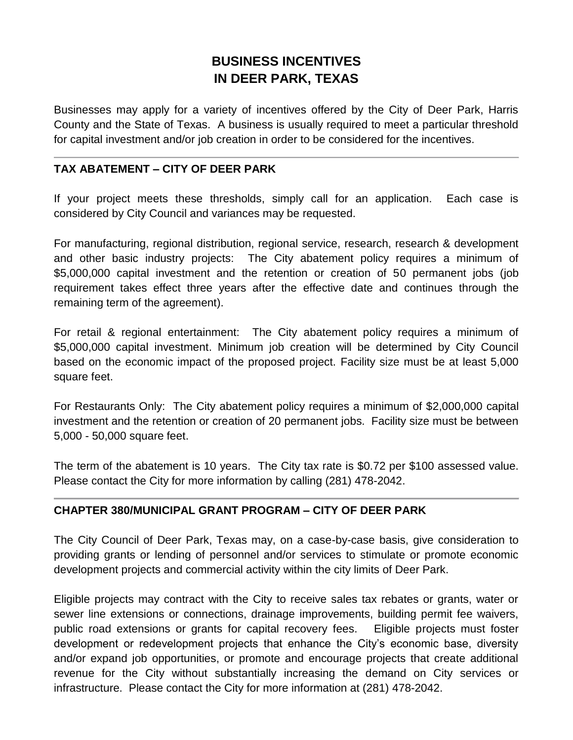# **BUSINESS INCENTIVES IN DEER PARK, TEXAS**

Businesses may apply for a variety of incentives offered by the City of Deer Park, Harris County and the State of Texas. A business is usually required to meet a particular threshold for capital investment and/or job creation in order to be considered for the incentives.

## **TAX ABATEMENT – CITY OF DEER PARK**

If your project meets these thresholds, simply call for an application. Each case is considered by City Council and variances may be requested.

For manufacturing, regional distribution, regional service, research, research & development and other basic industry projects: The City abatement policy requires a minimum of \$5,000,000 capital investment and the retention or creation of 50 permanent jobs (job requirement takes effect three years after the effective date and continues through the remaining term of the agreement).

For retail & regional entertainment: The City abatement policy requires a minimum of \$5,000,000 capital investment. Minimum job creation will be determined by City Council based on the economic impact of the proposed project. Facility size must be at least 5,000 square feet.

For Restaurants Only: The City abatement policy requires a minimum of \$2,000,000 capital investment and the retention or creation of 20 permanent jobs. Facility size must be between 5,000 - 50,000 square feet.

The term of the abatement is 10 years. The City tax rate is \$0.72 per \$100 assessed value. Please contact the City for more information by calling (281) 478-2042.

# **CHAPTER 380/MUNICIPAL GRANT PROGRAM – CITY OF DEER PARK**

The City Council of Deer Park, Texas may, on a case-by-case basis, give consideration to providing grants or lending of personnel and/or services to stimulate or promote economic development projects and commercial activity within the city limits of Deer Park.

Eligible projects may contract with the City to receive sales tax rebates or grants, water or sewer line extensions or connections, drainage improvements, building permit fee waivers, public road extensions or grants for capital recovery fees. Eligible projects must foster development or redevelopment projects that enhance the City's economic base, diversity and/or expand job opportunities, or promote and encourage projects that create additional revenue for the City without substantially increasing the demand on City services or infrastructure. Please contact the City for more information at (281) 478-2042.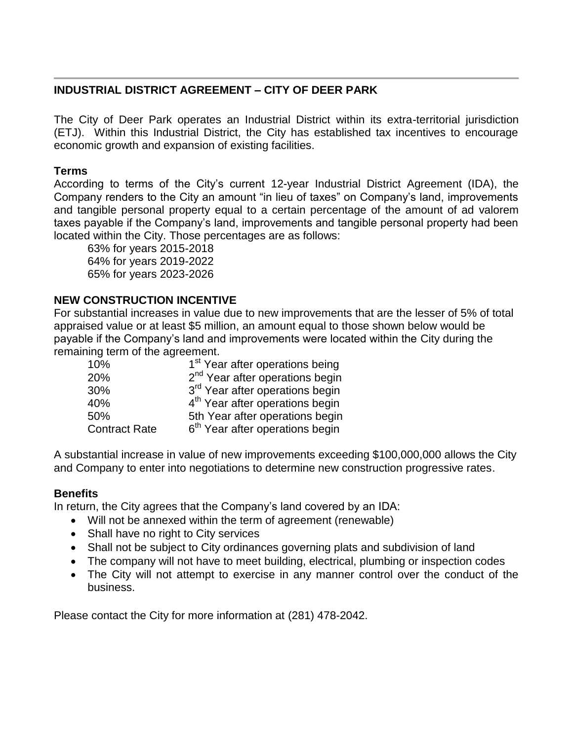# **INDUSTRIAL DISTRICT AGREEMENT – CITY OF DEER PARK**

The City of Deer Park operates an Industrial District within its extra-territorial jurisdiction (ETJ). Within this Industrial District, the City has established tax incentives to encourage economic growth and expansion of existing facilities.

## **Terms**

According to terms of the City's current 12-year Industrial District Agreement (IDA), the Company renders to the City an amount "in lieu of taxes" on Company's land, improvements and tangible personal property equal to a certain percentage of the amount of ad valorem taxes payable if the Company's land, improvements and tangible personal property had been located within the City. Those percentages are as follows:

63% for years 2015-2018 64% for years 2019-2022 65% for years 2023-2026

# **NEW CONSTRUCTION INCENTIVE**

For substantial increases in value due to new improvements that are the lesser of 5% of total appraised value or at least \$5 million, an amount equal to those shown below would be payable if the Company's land and improvements were located within the City during the remaining term of the agreement.

| 10%                  | 1 <sup>st</sup> Year after operations being |
|----------------------|---------------------------------------------|
| 20%                  | 2 <sup>nd</sup> Year after operations begin |
| 30%                  | 3 <sup>rd</sup> Year after operations begin |
| 40%                  | 4 <sup>th</sup> Year after operations begin |
| 50%                  | 5th Year after operations begin             |
| <b>Contract Rate</b> | 6 <sup>th</sup> Year after operations begin |

A substantial increase in value of new improvements exceeding \$100,000,000 allows the City and Company to enter into negotiations to determine new construction progressive rates.

## **Benefits**

In return, the City agrees that the Company's land covered by an IDA:

- Will not be annexed within the term of agreement (renewable)
- Shall have no right to City services
- Shall not be subject to City ordinances governing plats and subdivision of land
- The company will not have to meet building, electrical, plumbing or inspection codes
- The City will not attempt to exercise in any manner control over the conduct of the business.

Please contact the City for more information at (281) 478-2042.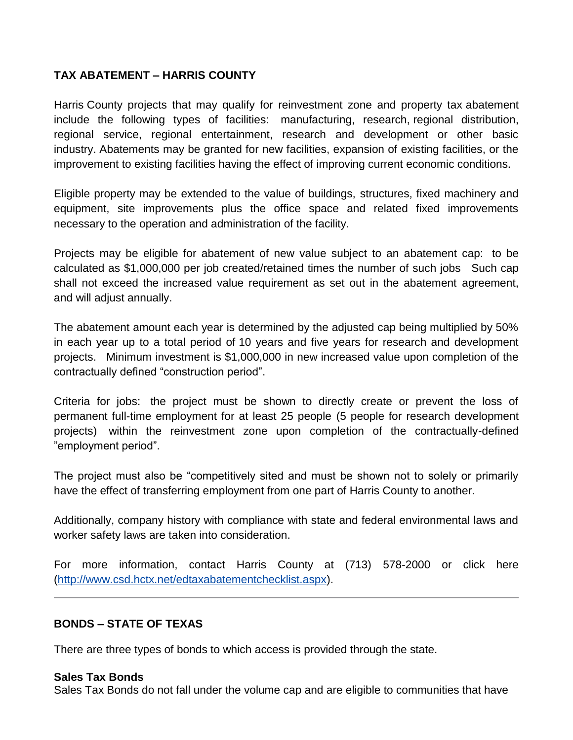# **TAX ABATEMENT – HARRIS COUNTY**

Harris County projects that may qualify for reinvestment zone and property tax abatement include the following types of facilities: manufacturing, research, regional distribution, regional service, regional entertainment, research and development or other basic industry. Abatements may be granted for new facilities, expansion of existing facilities, or the improvement to existing facilities having the effect of improving current economic conditions.

Eligible property may be extended to the value of buildings, structures, fixed machinery and equipment, site improvements plus the office space and related fixed improvements necessary to the operation and administration of the facility.

Projects may be eligible for abatement of new value subject to an abatement cap: to be calculated as \$1,000,000 per job created/retained times the number of such jobs Such cap shall not exceed the increased value requirement as set out in the abatement agreement, and will adjust annually.

The abatement amount each year is determined by the adjusted cap being multiplied by 50% in each year up to a total period of 10 years and five years for research and development projects. Minimum investment is \$1,000,000 in new increased value upon completion of the contractually defined "construction period".

Criteria for jobs: the project must be shown to directly create or prevent the loss of permanent full-time employment for at least 25 people (5 people for research development projects) within the reinvestment zone upon completion of the contractually-defined "employment period".

The project must also be "competitively sited and must be shown not to solely or primarily have the effect of transferring employment from one part of Harris County to another.

Additionally, company history with compliance with state and federal environmental laws and worker safety laws are taken into consideration.

For more information, contact Harris County at (713) 578-2000 or click here [\(http://www.csd.hctx.net/edtaxabatementchecklist.aspx\)](http://www.csd.hctx.net/edtaxabatementchecklist.aspx).

## **BONDS – STATE OF TEXAS**

There are three types of bonds to which access is provided through the state.

#### **Sales Tax Bonds**

Sales Tax Bonds do not fall under the volume cap and are eligible to communities that have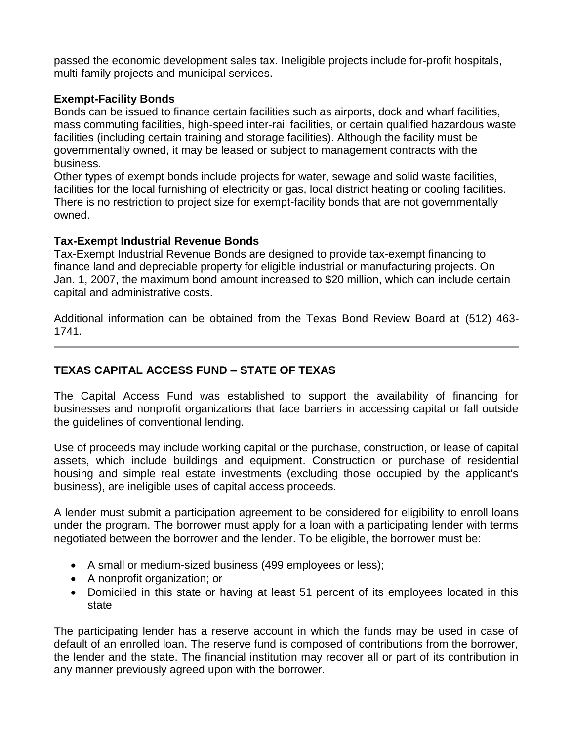passed the economic development sales tax. Ineligible projects include for-profit hospitals, multi-family projects and municipal services.

## **Exempt-Facility Bonds**

Bonds can be issued to finance certain facilities such as airports, dock and wharf facilities, mass commuting facilities, high-speed inter-rail facilities, or certain qualified hazardous waste facilities (including certain training and storage facilities). Although the facility must be governmentally owned, it may be leased or subject to management contracts with the business.

Other types of exempt bonds include projects for water, sewage and solid waste facilities, facilities for the local furnishing of electricity or gas, local district heating or cooling facilities. There is no restriction to project size for exempt-facility bonds that are not governmentally owned.

## **Tax-Exempt Industrial Revenue Bonds**

Tax-Exempt Industrial Revenue Bonds are designed to provide tax-exempt financing to finance land and depreciable property for eligible industrial or manufacturing projects. On Jan. 1, 2007, the maximum bond amount increased to \$20 million, which can include certain capital and administrative costs.

Additional information can be obtained from the Texas Bond Review Board at (512) 463- 1741.

# **TEXAS CAPITAL ACCESS FUND – STATE OF TEXAS**

The Capital Access Fund was established to support the availability of financing for businesses and nonprofit organizations that face barriers in accessing capital or fall outside the guidelines of conventional lending.

Use of proceeds may include working capital or the purchase, construction, or lease of capital assets, which include buildings and equipment. Construction or purchase of residential housing and simple real estate investments (excluding those occupied by the applicant's business), are ineligible uses of capital access proceeds.

A lender must submit a participation agreement to be considered for eligibility to enroll loans under the program. The borrower must apply for a loan with a participating lender with terms negotiated between the borrower and the lender. To be eligible, the borrower must be:

- A small or medium-sized business (499 employees or less);
- A nonprofit organization; or
- Domiciled in this state or having at least 51 percent of its employees located in this state

The participating lender has a reserve account in which the funds may be used in case of default of an enrolled loan. The reserve fund is composed of contributions from the borrower, the lender and the state. The financial institution may recover all or part of its contribution in any manner previously agreed upon with the borrower.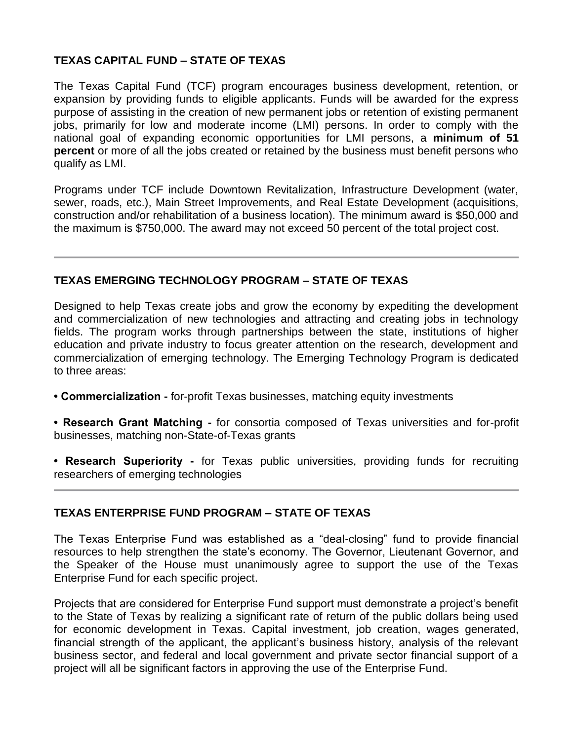#### **TEXAS CAPITAL FUND – STATE OF TEXAS**

The Texas Capital Fund (TCF) program encourages business development, retention, or expansion by providing funds to eligible applicants. Funds will be awarded for the express purpose of assisting in the creation of new permanent jobs or retention of existing permanent jobs, primarily for low and moderate income (LMI) persons. In order to comply with the national goal of expanding economic opportunities for LMI persons, a **minimum of 51 percent** or more of all the jobs created or retained by the business must benefit persons who qualify as LMI.

Programs under TCF include Downtown Revitalization, Infrastructure Development (water, sewer, roads, etc.), Main Street Improvements, and Real Estate Development (acquisitions, construction and/or rehabilitation of a business location). The minimum award is \$50,000 and the maximum is \$750,000. The award may not exceed 50 percent of the total project cost.

#### **TEXAS EMERGING TECHNOLOGY PROGRAM – STATE OF TEXAS**

Designed to help Texas create jobs and grow the economy by expediting the development and commercialization of new technologies and attracting and creating jobs in technology fields. The program works through partnerships between the state, institutions of higher education and private industry to focus greater attention on the research, development and commercialization of emerging technology. The Emerging Technology Program is dedicated to three areas:

- **Commercialization -** for-profit Texas businesses, matching equity investments
- **Research Grant Matching -** for consortia composed of Texas universities and for-profit businesses, matching non-State-of-Texas grants
- **Research Superiority -** for Texas public universities, providing funds for recruiting researchers of emerging technologies

#### **TEXAS ENTERPRISE FUND PROGRAM – STATE OF TEXAS**

The Texas Enterprise Fund was established as a "deal-closing" fund to provide financial resources to help strengthen the state's economy. The Governor, Lieutenant Governor, and the Speaker of the House must unanimously agree to support the use of the Texas Enterprise Fund for each specific project.

Projects that are considered for Enterprise Fund support must demonstrate a project's benefit to the State of Texas by realizing a significant rate of return of the public dollars being used for economic development in Texas. Capital investment, job creation, wages generated, financial strength of the applicant, the applicant's business history, analysis of the relevant business sector, and federal and local government and private sector financial support of a project will all be significant factors in approving the use of the Enterprise Fund.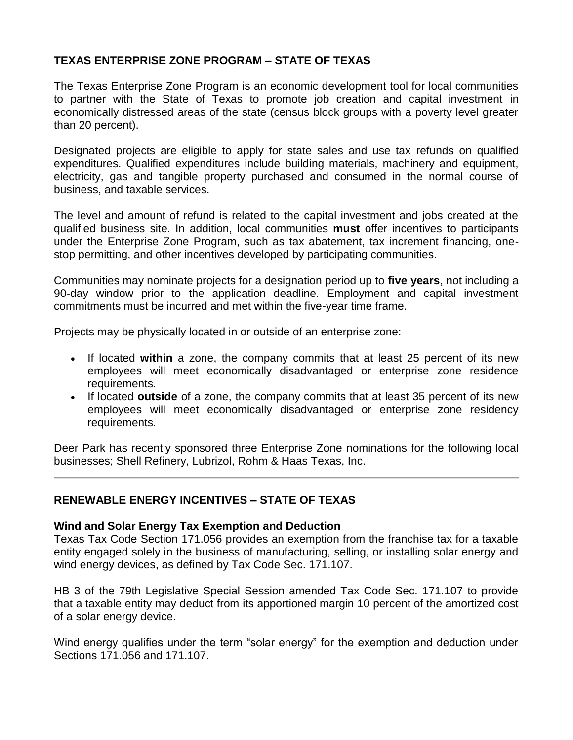## **TEXAS ENTERPRISE ZONE PROGRAM – STATE OF TEXAS**

The Texas Enterprise Zone Program is an economic development tool for local communities to partner with the State of Texas to promote job creation and capital investment in economically distressed areas of the state (census block groups with a poverty level greater than 20 percent).

Designated projects are eligible to apply for state sales and use tax refunds on qualified expenditures. Qualified expenditures include building materials, machinery and equipment, electricity, gas and tangible property purchased and consumed in the normal course of business, and taxable services.

The level and amount of refund is related to the capital investment and jobs created at the qualified business site. In addition, local communities **must** offer incentives to participants under the Enterprise Zone Program, such as tax abatement, tax increment financing, onestop permitting, and other incentives developed by participating communities.

Communities may nominate projects for a designation period up to **five years**, not including a 90-day window prior to the application deadline. Employment and capital investment commitments must be incurred and met within the five-year time frame.

Projects may be physically located in or outside of an enterprise zone:

- If located **within** a zone, the company commits that at least 25 percent of its new employees will meet economically disadvantaged or enterprise zone residence requirements.
- If located **outside** of a zone, the company commits that at least 35 percent of its new employees will meet economically disadvantaged or enterprise zone residency requirements.

Deer Park has recently sponsored three Enterprise Zone nominations for the following local businesses; Shell Refinery, Lubrizol, Rohm & Haas Texas, Inc.

#### **RENEWABLE ENERGY INCENTIVES – STATE OF TEXAS**

#### **Wind and Solar Energy Tax Exemption and Deduction**

Texas Tax Code Section 171.056 provides an exemption from the franchise tax for a taxable entity engaged solely in the business of manufacturing, selling, or installing solar energy and wind energy devices, as defined by Tax Code Sec. 171.107.

HB 3 of the 79th Legislative Special Session amended Tax Code Sec. 171.107 to provide that a taxable entity may deduct from its apportioned margin 10 percent of the amortized cost of a solar energy device.

Wind energy qualifies under the term "solar energy" for the exemption and deduction under Sections 171.056 and 171.107.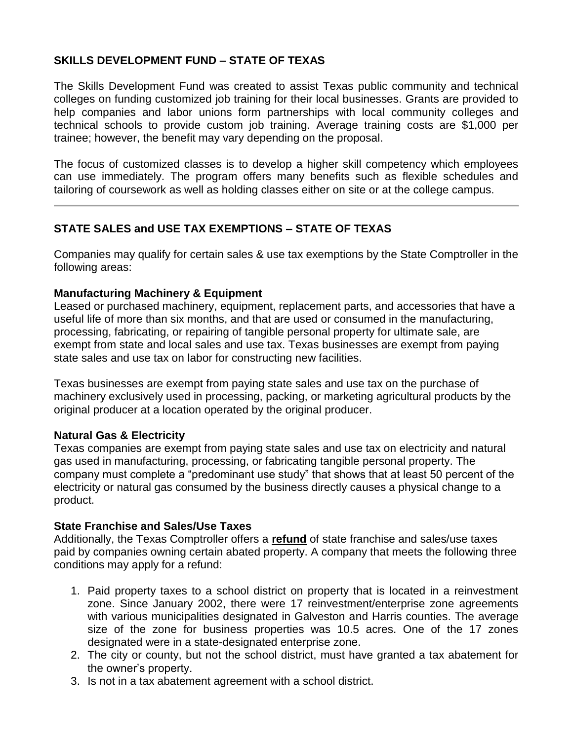## **SKILLS DEVELOPMENT FUND – STATE OF TEXAS**

The Skills Development Fund was created to assist Texas public community and technical colleges on funding customized job training for their local businesses. Grants are provided to help companies and labor unions form partnerships with local community colleges and technical schools to provide custom job training. Average training costs are \$1,000 per trainee; however, the benefit may vary depending on the proposal.

The focus of customized classes is to develop a higher skill competency which employees can use immediately. The program offers many benefits such as flexible schedules and tailoring of coursework as well as holding classes either on site or at the college campus.

## **STATE SALES and USE TAX EXEMPTIONS – STATE OF TEXAS**

Companies may qualify for certain sales & use tax exemptions by the State Comptroller in the following areas:

#### **Manufacturing Machinery & Equipment**

Leased or purchased machinery, equipment, replacement parts, and accessories that have a useful life of more than six months, and that are used or consumed in the manufacturing, processing, fabricating, or repairing of tangible personal property for ultimate sale, are exempt from state and local sales and use tax. Texas businesses are exempt from paying state sales and use tax on labor for constructing new facilities.

Texas businesses are exempt from paying state sales and use tax on the purchase of machinery exclusively used in processing, packing, or marketing agricultural products by the original producer at a location operated by the original producer.

#### **Natural Gas & Electricity**

Texas companies are exempt from paying state sales and use tax on electricity and natural gas used in manufacturing, processing, or fabricating tangible personal property. The company must complete a "predominant use study" that shows that at least 50 percent of the electricity or natural gas consumed by the business directly causes a physical change to a product.

#### **State Franchise and Sales/Use Taxes**

Additionally, the Texas Comptroller offers a **refund** of state franchise and sales/use taxes paid by companies owning certain abated property. A company that meets the following three conditions may apply for a refund:

- 1. Paid property taxes to a school district on property that is located in a reinvestment zone. Since January 2002, there were 17 reinvestment/enterprise zone agreements with various municipalities designated in Galveston and Harris counties. The average size of the zone for business properties was 10.5 acres. One of the 17 zones designated were in a state-designated enterprise zone.
- 2. The city or county, but not the school district, must have granted a tax abatement for the owner's property.
- 3. Is not in a tax abatement agreement with a school district.